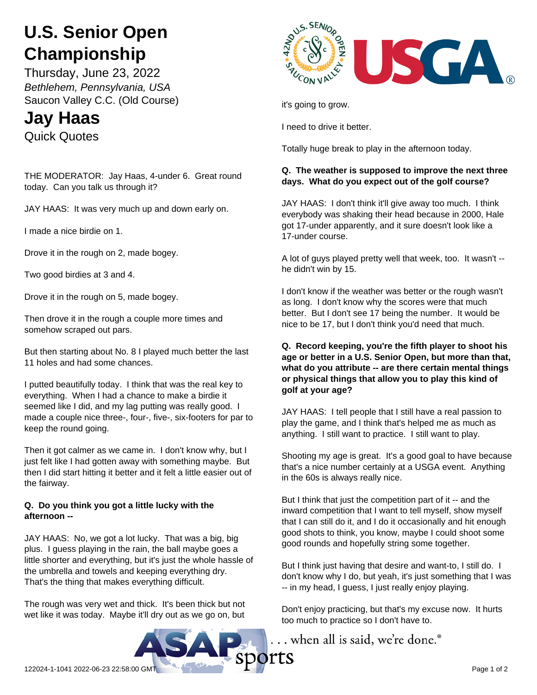# **U.S. Senior Open Championship**

Thursday, June 23, 2022 *Bethlehem, Pennsylvania, USA* Saucon Valley C.C. (Old Course)

# **Jay Haas** Quick Quotes

THE MODERATOR: Jay Haas, 4-under 6. Great round today. Can you talk us through it?

JAY HAAS: It was very much up and down early on.

I made a nice birdie on 1.

Drove it in the rough on 2, made bogey.

Two good birdies at 3 and 4.

Drove it in the rough on 5, made bogey.

Then drove it in the rough a couple more times and somehow scraped out pars.

But then starting about No. 8 I played much better the last 11 holes and had some chances.

I putted beautifully today. I think that was the real key to everything. When I had a chance to make a birdie it seemed like I did, and my lag putting was really good. I made a couple nice three-, four-, five-, six-footers for par to keep the round going.

Then it got calmer as we came in. I don't know why, but I just felt like I had gotten away with something maybe. But then I did start hitting it better and it felt a little easier out of the fairway.

## **Q. Do you think you got a little lucky with the afternoon --**

JAY HAAS: No, we got a lot lucky. That was a big, big plus. I guess playing in the rain, the ball maybe goes a little shorter and everything, but it's just the whole hassle of the umbrella and towels and keeping everything dry. That's the thing that makes everything difficult.

The rough was very wet and thick. It's been thick but not wet like it was today. Maybe it'll dry out as we go on, but



it's going to grow.

I need to drive it better.

Totally huge break to play in the afternoon today.

# **Q. The weather is supposed to improve the next three days. What do you expect out of the golf course?**

JAY HAAS: I don't think it'll give away too much. I think everybody was shaking their head because in 2000, Hale got 17-under apparently, and it sure doesn't look like a 17-under course.

A lot of guys played pretty well that week, too. It wasn't - he didn't win by 15.

I don't know if the weather was better or the rough wasn't as long. I don't know why the scores were that much better. But I don't see 17 being the number. It would be nice to be 17, but I don't think you'd need that much.

#### **Q. Record keeping, you're the fifth player to shoot his age or better in a U.S. Senior Open, but more than that, what do you attribute -- are there certain mental things or physical things that allow you to play this kind of golf at your age?**

JAY HAAS: I tell people that I still have a real passion to play the game, and I think that's helped me as much as anything. I still want to practice. I still want to play.

Shooting my age is great. It's a good goal to have because that's a nice number certainly at a USGA event. Anything in the 60s is always really nice.

But I think that just the competition part of it -- and the inward competition that I want to tell myself, show myself that I can still do it, and I do it occasionally and hit enough good shots to think, you know, maybe I could shoot some good rounds and hopefully string some together.

But I think just having that desire and want-to, I still do. I don't know why I do, but yeah, it's just something that I was -- in my head, I guess, I just really enjoy playing.

Don't enjoy practicing, but that's my excuse now. It hurts too much to practice so I don't have to.

... when all is said, we're done.